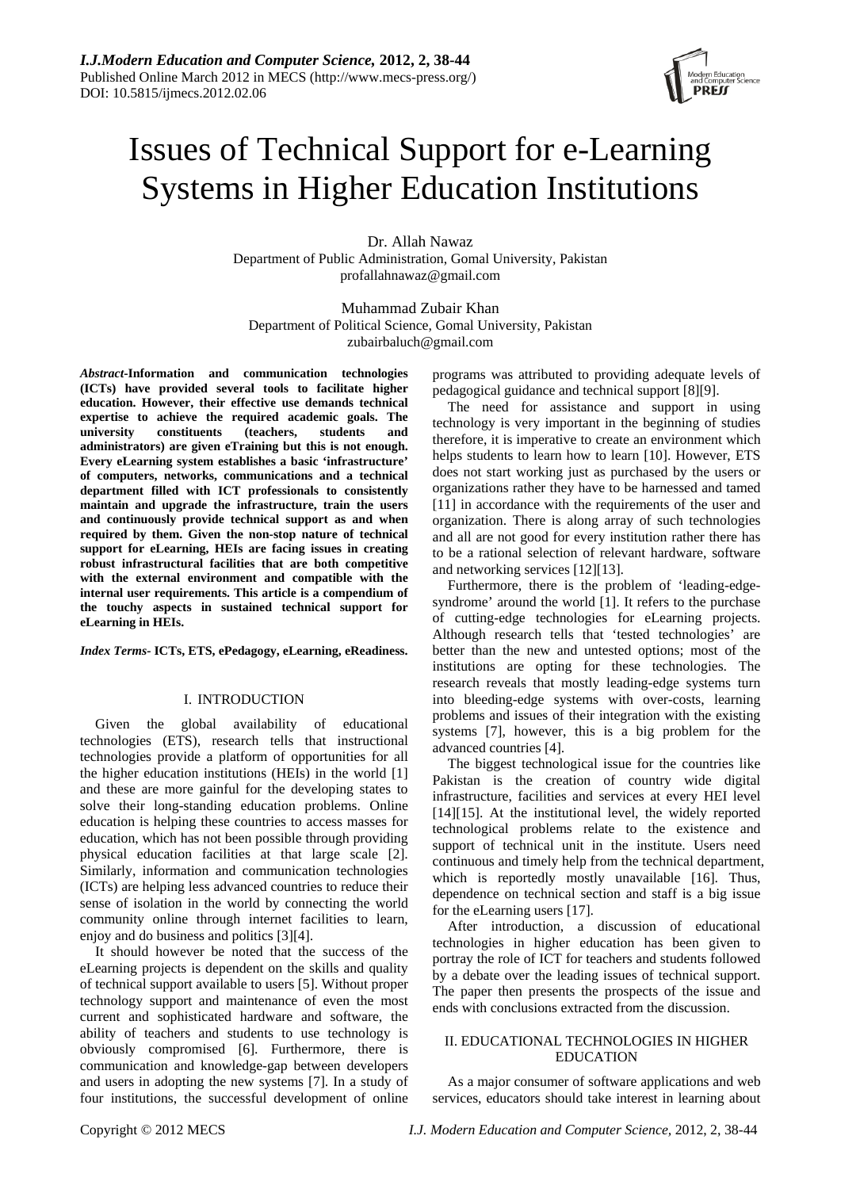

# Issues of Technical Support for e-Learning Systems in Higher Education Institutions

Dr. Allah Nawaz Department of Public Administration, Gomal University, Pakistan profallahnawaz@gmail.com

Muhammad Zubair Khan Department of Political Science, Gomal University, Pakistan zubairbaluch@gmail.com

*Abstract***-Information and communication technologies (ICTs) have provided several tools to facilitate higher education. However, their effective use demands technical expertise to achieve the required academic goals. The university constituents (teachers, students and administrators) are given eTraining but this is not enough. Every eLearning system establishes a basic 'infrastructure' of computers, networks, communications and a technical department filled with ICT professionals to consistently maintain and upgrade the infrastructure, train the users and continuously provide technical support as and when required by them. Given the non-stop nature of technical support for eLearning, HEIs are facing issues in creating robust infrastructural facilities that are both competitive with the external environment and compatible with the internal user requirements. This article is a compendium of the touchy aspects in sustained technical support for eLearning in HEIs.** 

*Index Terms-* **ICTs, ETS, ePedagogy, eLearning, eReadiness.** 

# I. INTRODUCTION

Given the global availability of educational technologies (ETS), research tells that instructional technologies provide a platform of opportunities for all the higher education institutions (HEIs) in the world [1] and these are more gainful for the developing states to solve their long-standing education problems. Online education is helping these countries to access masses for education, which has not been possible through providing physical education facilities at that large scale [2]. Similarly, information and communication technologies (ICTs) are helping less advanced countries to reduce their sense of isolation in the world by connecting the world community online through internet facilities to learn, enjoy and do business and politics [3][4].

It should however be noted that the success of the eLearning projects is dependent on the skills and quality of technical support available to users [5]. Without proper technology support and maintenance of even the most current and sophisticated hardware and software, the ability of teachers and students to use technology is obviously compromised [6]. Furthermore, there is communication and knowledge-gap between developers and users in adopting the new systems [7]. In a study of four institutions, the successful development of online

programs was attributed to providing adequate levels of pedagogical guidance and technical support [8][9].

The need for assistance and support in using technology is very important in the beginning of studies therefore, it is imperative to create an environment which helps students to learn how to learn [10]. However, ETS does not start working just as purchased by the users or organizations rather they have to be harnessed and tamed [11] in accordance with the requirements of the user and organization. There is along array of such technologies and all are not good for every institution rather there has to be a rational selection of relevant hardware, software and networking services [12][13].

Furthermore, there is the problem of 'leading-edgesyndrome' around the world [1]. It refers to the purchase of cutting-edge technologies for eLearning projects. Although research tells that 'tested technologies' are better than the new and untested options; most of the institutions are opting for these technologies. The research reveals that mostly leading-edge systems turn into bleeding-edge systems with over-costs, learning problems and issues of their integration with the existing systems [7], however, this is a big problem for the advanced countries [4].

The biggest technological issue for the countries like Pakistan is the creation of country wide digital infrastructure, facilities and services at every HEI level [14][15]. At the institutional level, the widely reported technological problems relate to the existence and support of technical unit in the institute. Users need continuous and timely help from the technical department, which is reportedly mostly unavailable [16]. Thus, dependence on technical section and staff is a big issue for the eLearning users [17].

After introduction, a discussion of educational technologies in higher education has been given to portray the role of ICT for teachers and students followed by a debate over the leading issues of technical support. The paper then presents the prospects of the issue and ends with conclusions extracted from the discussion.

# II. EDUCATIONAL TECHNOLOGIES IN HIGHER EDUCATION

As a major consumer of software applications and web services, educators should take interest in learning about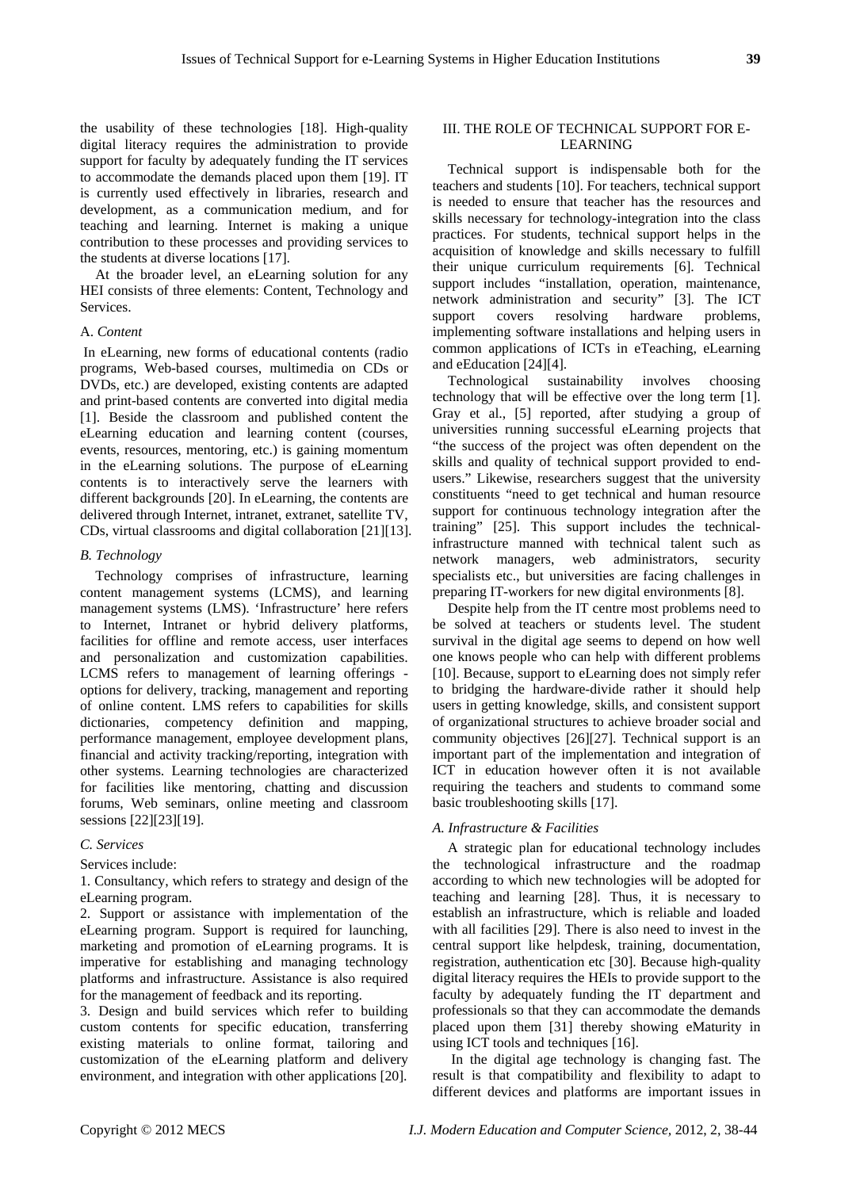the usability of these technologies [18]. High-quality digital literacy requires the administration to provide support for faculty by adequately funding the IT services to accommodate the demands placed upon them [19]. IT is currently used effectively in libraries, research and development, as a communication medium, and for teaching and learning. Internet is making a unique contribution to these processes and providing services to the students at diverse locations [17].

At the broader level, an eLearning solution for any HEI consists of three elements: Content, Technology and **Services**.

#### A. *Content*

 In eLearning, new forms of educational contents (radio programs, Web-based courses, multimedia on CDs or DVDs, etc.) are developed, existing contents are adapted and print-based contents are converted into digital media [1]. Beside the classroom and published content the eLearning education and learning content (courses, events, resources, mentoring, etc.) is gaining momentum in the eLearning solutions. The purpose of eLearning contents is to interactively serve the learners with different backgrounds [20]. In eLearning, the contents are delivered through Internet, intranet, extranet, satellite TV, CDs, virtual classrooms and digital collaboration [21][13].

#### *B. Technology*

Technology comprises of infrastructure, learning content management systems (LCMS), and learning management systems (LMS). 'Infrastructure' here refers to Internet, Intranet or hybrid delivery platforms, facilities for offline and remote access, user interfaces and personalization and customization capabilities. LCMS refers to management of learning offerings options for delivery, tracking, management and reporting of online content. LMS refers to capabilities for skills dictionaries, competency definition and mapping, performance management, employee development plans, financial and activity tracking/reporting, integration with other systems. Learning technologies are characterized for facilities like mentoring, chatting and discussion forums, Web seminars, online meeting and classroom sessions [22][23][19].

#### *C. Services*

#### Services include:

1. Consultancy, which refers to strategy and design of the eLearning program.

2. Support or assistance with implementation of the eLearning program. Support is required for launching, marketing and promotion of eLearning programs. It is imperative for establishing and managing technology platforms and infrastructure. Assistance is also required for the management of feedback and its reporting.

3. Design and build services which refer to building custom contents for specific education, transferring existing materials to online format, tailoring and customization of the eLearning platform and delivery environment, and integration with other applications [20].

## III. THE ROLE OF TECHNICAL SUPPORT FOR E-LEARNING

Technical support is indispensable both for the teachers and students [10]. For teachers, technical support is needed to ensure that teacher has the resources and skills necessary for technology-integration into the class practices. For students, technical support helps in the acquisition of knowledge and skills necessary to fulfill their unique curriculum requirements [6]. Technical support includes "installation, operation, maintenance, network administration and security" [3]. The ICT support covers resolving hardware problems, implementing software installations and helping users in common applications of ICTs in eTeaching, eLearning and eEducation [24][4].

Technological sustainability involves choosing technology that will be effective over the long term [1]. Gray et al., [5] reported, after studying a group of universities running successful eLearning projects that "the success of the project was often dependent on the skills and quality of technical support provided to endusers." Likewise, researchers suggest that the university constituents "need to get technical and human resource support for continuous technology integration after the training" [25]. This support includes the technicalinfrastructure manned with technical talent such as network managers, web administrators, security specialists etc., but universities are facing challenges in preparing IT-workers for new digital environments [8].

Despite help from the IT centre most problems need to be solved at teachers or students level. The student survival in the digital age seems to depend on how well one knows people who can help with different problems [10]. Because, support to eLearning does not simply refer to bridging the hardware-divide rather it should help users in getting knowledge, skills, and consistent support of organizational structures to achieve broader social and community objectives [26][27]. Technical support is an important part of the implementation and integration of ICT in education however often it is not available requiring the teachers and students to command some basic troubleshooting skills [17].

#### *A. Infrastructure & Facilities*

A strategic plan for educational technology includes the technological infrastructure and the roadmap according to which new technologies will be adopted for teaching and learning [28]. Thus, it is necessary to establish an infrastructure, which is reliable and loaded with all facilities [29]. There is also need to invest in the central support like helpdesk, training, documentation, registration, authentication etc [30]. Because high-quality digital literacy requires the HEIs to provide support to the faculty by adequately funding the IT department and professionals so that they can accommodate the demands placed upon them [31] thereby showing eMaturity in using ICT tools and techniques [16].

 In the digital age technology is changing fast. The result is that compatibility and flexibility to adapt to different devices and platforms are important issues in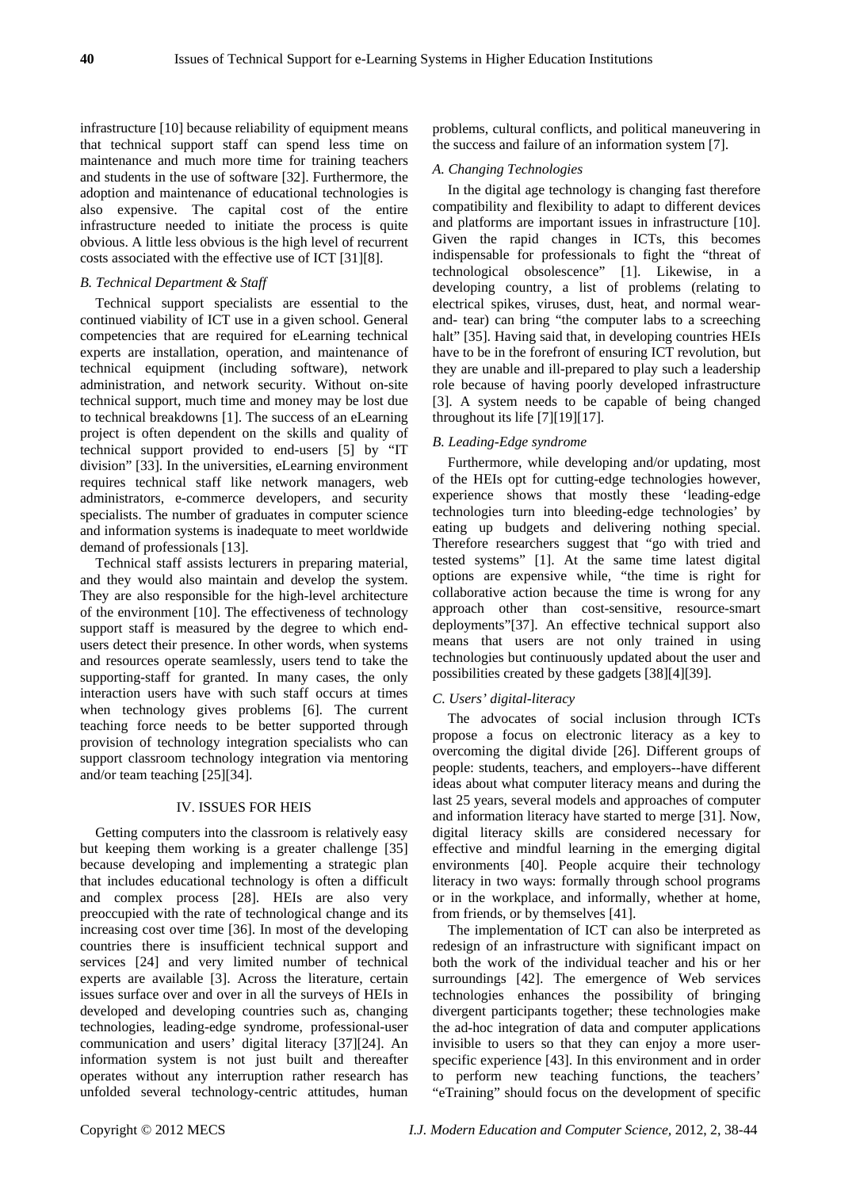infrastructure [10] because reliability of equipment means that technical support staff can spend less time on maintenance and much more time for training teachers and students in the use of software [32]. Furthermore, the adoption and maintenance of educational technologies is also expensive. The capital cost of the entire infrastructure needed to initiate the process is quite obvious. A little less obvious is the high level of recurrent costs associated with the effective use of ICT [31][8].

### *B. Technical Department & Staff*

Technical support specialists are essential to the continued viability of ICT use in a given school. General competencies that are required for eLearning technical experts are installation, operation, and maintenance of technical equipment (including software), network administration, and network security. Without on-site technical support, much time and money may be lost due to technical breakdowns [1]. The success of an eLearning project is often dependent on the skills and quality of technical support provided to end-users [5] by "IT division" [33]. In the universities, eLearning environment requires technical staff like network managers, web administrators, e-commerce developers, and security specialists. The number of graduates in computer science and information systems is inadequate to meet worldwide demand of professionals [13].

Technical staff assists lecturers in preparing material, and they would also maintain and develop the system. They are also responsible for the high-level architecture of the environment [10]. The effectiveness of technology support staff is measured by the degree to which endusers detect their presence. In other words, when systems and resources operate seamlessly, users tend to take the supporting-staff for granted. In many cases, the only interaction users have with such staff occurs at times when technology gives problems [6]. The current teaching force needs to be better supported through provision of technology integration specialists who can support classroom technology integration via mentoring and/or team teaching [25][34].

#### IV. ISSUES FOR HEIS

Getting computers into the classroom is relatively easy but keeping them working is a greater challenge [35] because developing and implementing a strategic plan that includes educational technology is often a difficult and complex process [28]. HEIs are also very preoccupied with the rate of technological change and its increasing cost over time [36]. In most of the developing countries there is insufficient technical support and services [24] and very limited number of technical experts are available [3]. Across the literature, certain issues surface over and over in all the surveys of HEIs in developed and developing countries such as, changing technologies, leading-edge syndrome, professional-user communication and users' digital literacy [37][24]. An information system is not just built and thereafter operates without any interruption rather research has unfolded several technology-centric attitudes, human

problems, cultural conflicts, and political maneuvering in the success and failure of an information system [7].

# *A. Changing Technologies*

In the digital age technology is changing fast therefore compatibility and flexibility to adapt to different devices and platforms are important issues in infrastructure [10]. Given the rapid changes in ICTs, this becomes indispensable for professionals to fight the "threat of technological obsolescence" [1]. Likewise, in a developing country, a list of problems (relating to electrical spikes, viruses, dust, heat, and normal wearand- tear) can bring "the computer labs to a screeching halt" [35]. Having said that, in developing countries HEIs have to be in the forefront of ensuring ICT revolution, but they are unable and ill-prepared to play such a leadership role because of having poorly developed infrastructure [3]. A system needs to be capable of being changed throughout its life [7][19][17].

#### *B. Leading-Edge syndrome*

Furthermore, while developing and/or updating, most of the HEIs opt for cutting-edge technologies however, experience shows that mostly these 'leading-edge technologies turn into bleeding-edge technologies' by eating up budgets and delivering nothing special. Therefore researchers suggest that "go with tried and tested systems" [1]. At the same time latest digital options are expensive while, "the time is right for collaborative action because the time is wrong for any approach other than cost-sensitive, resource-smart deployments"[37]. An effective technical support also means that users are not only trained in using technologies but continuously updated about the user and possibilities created by these gadgets [38][4][39].

#### *C. Users' digital-literacy*

The advocates of social inclusion through ICTs propose a focus on electronic literacy as a key to overcoming the digital divide [26]. Different groups of people: students, teachers, and employers--have different ideas about what computer literacy means and during the last 25 years, several models and approaches of computer and information literacy have started to merge [31]. Now, digital literacy skills are considered necessary for effective and mindful learning in the emerging digital environments [40]. People acquire their technology literacy in two ways: formally through school programs or in the workplace, and informally, whether at home, from friends, or by themselves [41].

The implementation of ICT can also be interpreted as redesign of an infrastructure with significant impact on both the work of the individual teacher and his or her surroundings [42]. The emergence of Web services technologies enhances the possibility of bringing divergent participants together; these technologies make the ad-hoc integration of data and computer applications invisible to users so that they can enjoy a more userspecific experience [43]. In this environment and in order to perform new teaching functions, the teachers' "eTraining" should focus on the development of specific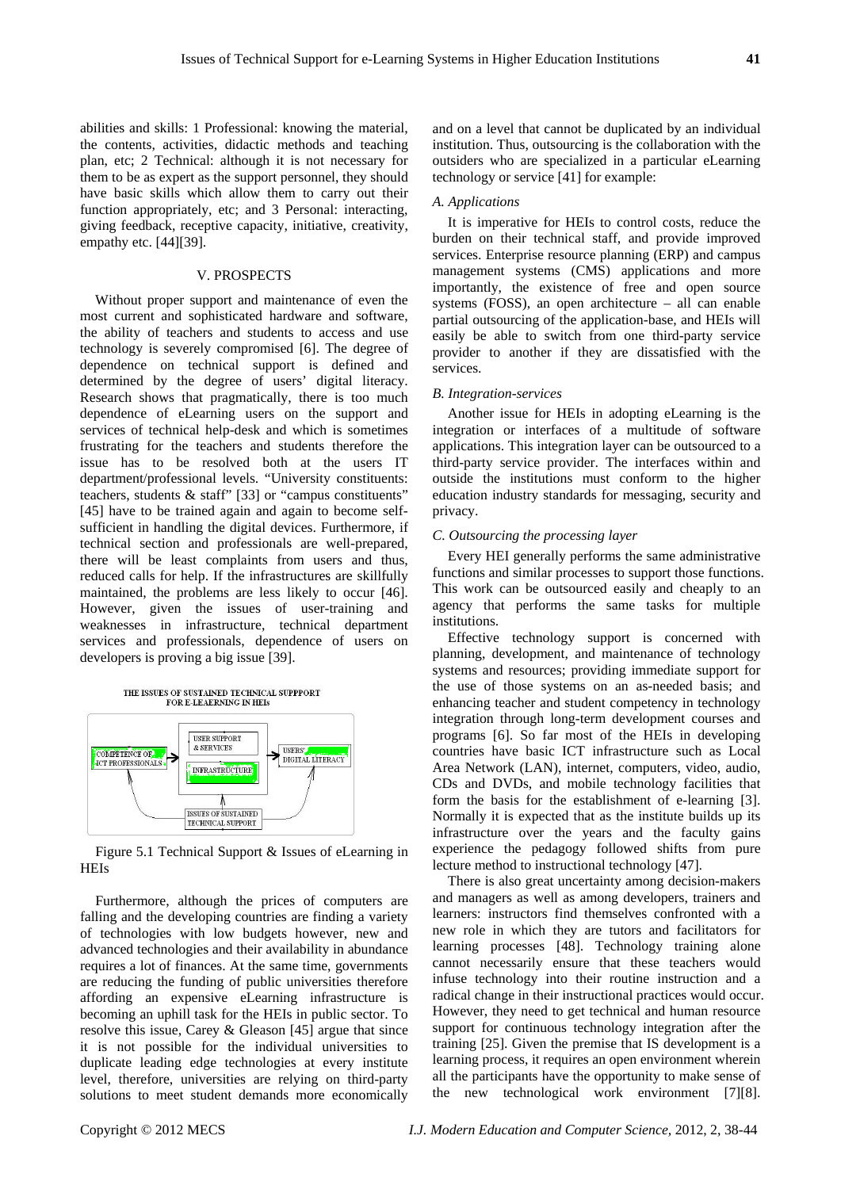abilities and skills: 1 Professional: knowing the material, the contents, activities, didactic methods and teaching plan, etc; 2 Technical: although it is not necessary for them to be as expert as the support personnel, they should have basic skills which allow them to carry out their function appropriately, etc; and 3 Personal: interacting, giving feedback, receptive capacity, initiative, creativity, empathy etc. [44][39].

#### V. PROSPECTS

Without proper support and maintenance of even the most current and sophisticated hardware and software, the ability of teachers and students to access and use technology is severely compromised [6]. The degree of dependence on technical support is defined and determined by the degree of users' digital literacy. Research shows that pragmatically, there is too much dependence of eLearning users on the support and services of technical help-desk and which is sometimes frustrating for the teachers and students therefore the issue has to be resolved both at the users IT department/professional levels. "University constituents: teachers, students & staff" [33] or "campus constituents" [45] have to be trained again and again to become selfsufficient in handling the digital devices. Furthermore, if technical section and professionals are well-prepared, there will be least complaints from users and thus, reduced calls for help. If the infrastructures are skillfully maintained, the problems are less likely to occur [46]. However, given the issues of user-training and weaknesses in infrastructure, technical department services and professionals, dependence of users on developers is proving a big issue [39].



Figure 5.1 Technical Support & Issues of eLearning in HEIs

Furthermore, although the prices of computers are falling and the developing countries are finding a variety of technologies with low budgets however, new and advanced technologies and their availability in abundance requires a lot of finances. At the same time, governments are reducing the funding of public universities therefore affording an expensive eLearning infrastructure is becoming an uphill task for the HEIs in public sector. To resolve this issue, Carey & Gleason [45] argue that since it is not possible for the individual universities to duplicate leading edge technologies at every institute level, therefore, universities are relying on third-party solutions to meet student demands more economically

and on a level that cannot be duplicated by an individual institution. Thus, outsourcing is the collaboration with the outsiders who are specialized in a particular eLearning technology or service [41] for example:

#### *A. Applications*

It is imperative for HEIs to control costs, reduce the burden on their technical staff, and provide improved services. Enterprise resource planning (ERP) and campus management systems (CMS) applications and more importantly, the existence of free and open source systems (FOSS), an open architecture – all can enable partial outsourcing of the application-base, and HEIs will easily be able to switch from one third-party service provider to another if they are dissatisfied with the services.

#### *B. Integration-services*

Another issue for HEIs in adopting eLearning is the integration or interfaces of a multitude of software applications. This integration layer can be outsourced to a third-party service provider. The interfaces within and outside the institutions must conform to the higher education industry standards for messaging, security and privacy.

#### *C. Outsourcing the processing layer*

Every HEI generally performs the same administrative functions and similar processes to support those functions. This work can be outsourced easily and cheaply to an agency that performs the same tasks for multiple institutions.

Effective technology support is concerned with planning, development, and maintenance of technology systems and resources; providing immediate support for the use of those systems on an as-needed basis; and enhancing teacher and student competency in technology integration through long-term development courses and programs [6]. So far most of the HEIs in developing countries have basic ICT infrastructure such as Local Area Network (LAN), internet, computers, video, audio, CDs and DVDs, and mobile technology facilities that form the basis for the establishment of e-learning [3]. Normally it is expected that as the institute builds up its infrastructure over the years and the faculty gains experience the pedagogy followed shifts from pure lecture method to instructional technology [47].

There is also great uncertainty among decision-makers and managers as well as among developers, trainers and learners: instructors find themselves confronted with a new role in which they are tutors and facilitators for learning processes [48]. Technology training alone cannot necessarily ensure that these teachers would infuse technology into their routine instruction and a radical change in their instructional practices would occur. However, they need to get technical and human resource support for continuous technology integration after the training [25]. Given the premise that IS development is a learning process, it requires an open environment wherein all the participants have the opportunity to make sense of the new technological work environment [7][8].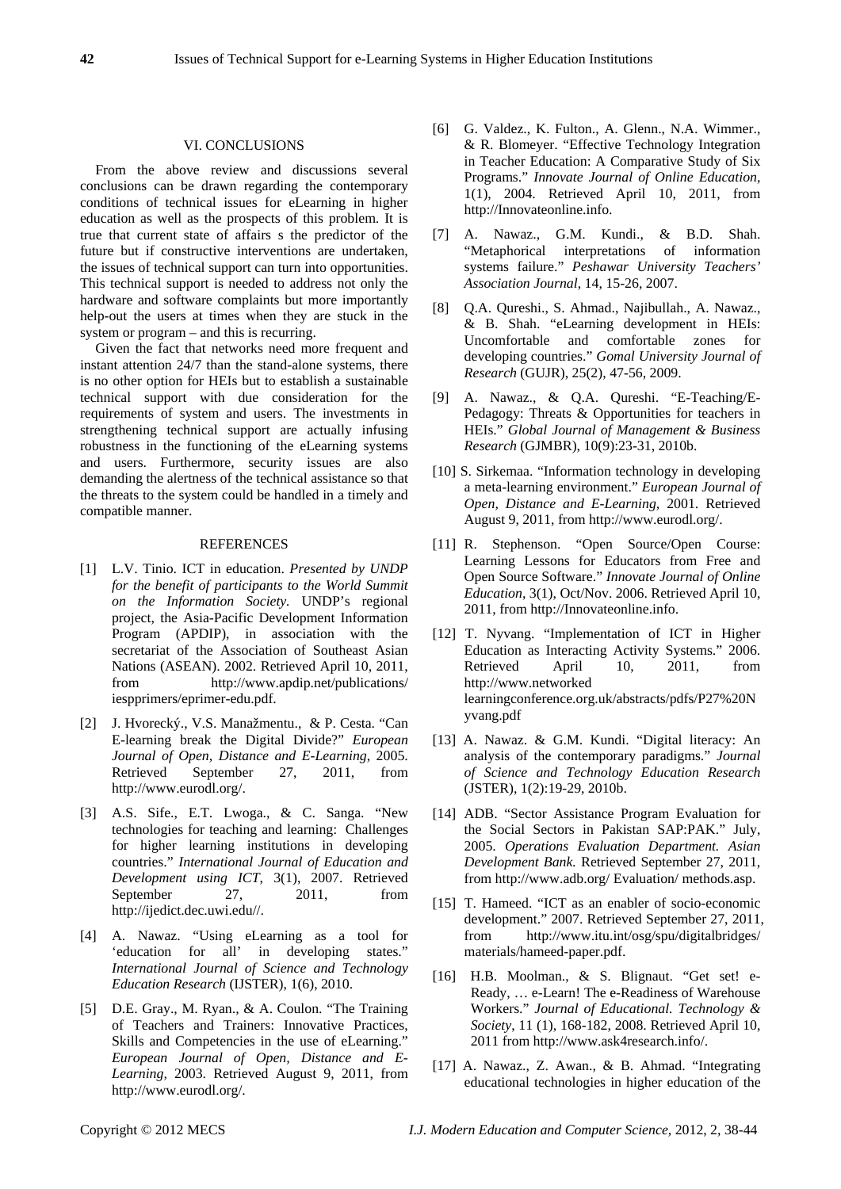#### VI. CONCLUSIONS

From the above review and discussions several conclusions can be drawn regarding the contemporary conditions of technical issues for eLearning in higher education as well as the prospects of this problem. It is true that current state of affairs s the predictor of the future but if constructive interventions are undertaken, the issues of technical support can turn into opportunities. This technical support is needed to address not only the hardware and software complaints but more importantly help-out the users at times when they are stuck in the system or program – and this is recurring.

Given the fact that networks need more frequent and instant attention 24/7 than the stand-alone systems, there is no other option for HEIs but to establish a sustainable technical support with due consideration for the requirements of system and users. The investments in strengthening technical support are actually infusing robustness in the functioning of the eLearning systems and users. Furthermore, security issues are also demanding the alertness of the technical assistance so that the threats to the system could be handled in a timely and compatible manner.

#### **REFERENCES**

- [1] L.V. Tinio. ICT in education. *Presented by UNDP for the benefit of participants to the World Summit on the Information Society.* UNDP's regional project, the Asia-Pacific Development Information Program (APDIP), in association with the secretariat of the Association of Southeast Asian Nations (ASEAN). 2002. Retrieved April 10, 2011, from http://www.apdip.net/publications/ iespprimers/eprimer-edu.pdf.
- [2] J. Hvorecký., V.S. Manažmentu., & P. Cesta. "Can E-learning break the Digital Divide?" *European Journal of Open, Distance and E-Learning*, 2005. Retrieved September 27, 2011, from http://www.eurodl.org/.
- [3] A.S. Sife., E.T. Lwoga., & C. Sanga. "New technologies for teaching and learning: Challenges for higher learning institutions in developing countries." *International Journal of Education and Development using ICT*, 3(1), 2007. Retrieved September 27, 2011, from http://ijedict.dec.uwi.edu//.
- [4] A. Nawaz. "Using eLearning as a tool for 'education for all' in developing states." *International Journal of Science and Technology Education Research* (IJSTER), 1(6), 2010.
- [5] D.E. Gray., M. Ryan., & A. Coulon. "The Training of Teachers and Trainers: Innovative Practices, Skills and Competencies in the use of eLearning." *European Journal of Open, Distance and E-Learning,* 2003. Retrieved August 9, 2011, from http://www.eurodl.org/.
- [6] G. Valdez., K. Fulton., A. Glenn., N.A. Wimmer., & R. Blomeyer. "Effective Technology Integration in Teacher Education: A Comparative Study of Six Programs." *Innovate Journal of Online Education*, 1(1), 2004. Retrieved April 10, 2011, from http://Innovateonline.info.
- [7] A. Nawaz., G.M. Kundi., & B.D. Shah. "Metaphorical interpretations of information systems failure." *Peshawar University Teachers' Association Journal*, 14, 15-26, 2007.
- [8] Q.A. Qureshi., S. Ahmad., Najibullah., A. Nawaz., & B. Shah. "eLearning development in HEIs: Uncomfortable and comfortable zones for developing countries." *Gomal University Journal of Research* (GUJR), 25(2), 47-56, 2009.
- [9] A. Nawaz., & Q.A. Qureshi. "E-Teaching/E-Pedagogy: Threats & Opportunities for teachers in HEIs." *Global Journal of Management & Business Research* (GJMBR), 10(9):23-31, 2010b.
- [10] S. Sirkemaa. "Information technology in developing a meta-learning environment." *European Journal of Open, Distance and E-Learning,* 2001. Retrieved August 9, 2011, from http://www.eurodl.org/.
- [11] R. Stephenson. "Open Source/Open Course: Learning Lessons for Educators from Free and Open Source Software." *Innovate Journal of Online Education*, 3(1), Oct/Nov. 2006. Retrieved April 10, 2011, from http://Innovateonline.info.
- [12] T. Nyvang. "Implementation of ICT in Higher Education as Interacting Activity Systems." 2006. Retrieved April 10, 2011, from http://www.networked learningconference.org.uk/abstracts/pdfs/P27%20N yvang.pdf
- [13] A. Nawaz. & G.M. Kundi. "Digital literacy: An analysis of the contemporary paradigms." *Journal of Science and Technology Education Research* (JSTER), 1(2):19-29, 2010b.
- [14] ADB. "Sector Assistance Program Evaluation for the Social Sectors in Pakistan SAP:PAK." July, 2005. *Operations Evaluation Department. Asian Development Bank.* Retrieved September 27, 2011, from http://www.adb.org/ Evaluation/ methods.asp.
- [15] T. Hameed. "ICT as an enabler of socio-economic development." 2007. Retrieved September 27, 2011, from http://www.itu.int/osg/spu/digitalbridges/ materials/hameed-paper.pdf.
- [16] H.B. Moolman., & S. Blignaut. "Get set! e-Ready, … e-Learn! The e-Readiness of Warehouse Workers." *Journal of Educational. Technology & Society*, 11 (1), 168-182, 2008. Retrieved April 10, 2011 from http://www.ask4research.info/.
- [17] A. Nawaz., Z. Awan., & B. Ahmad. "Integrating educational technologies in higher education of the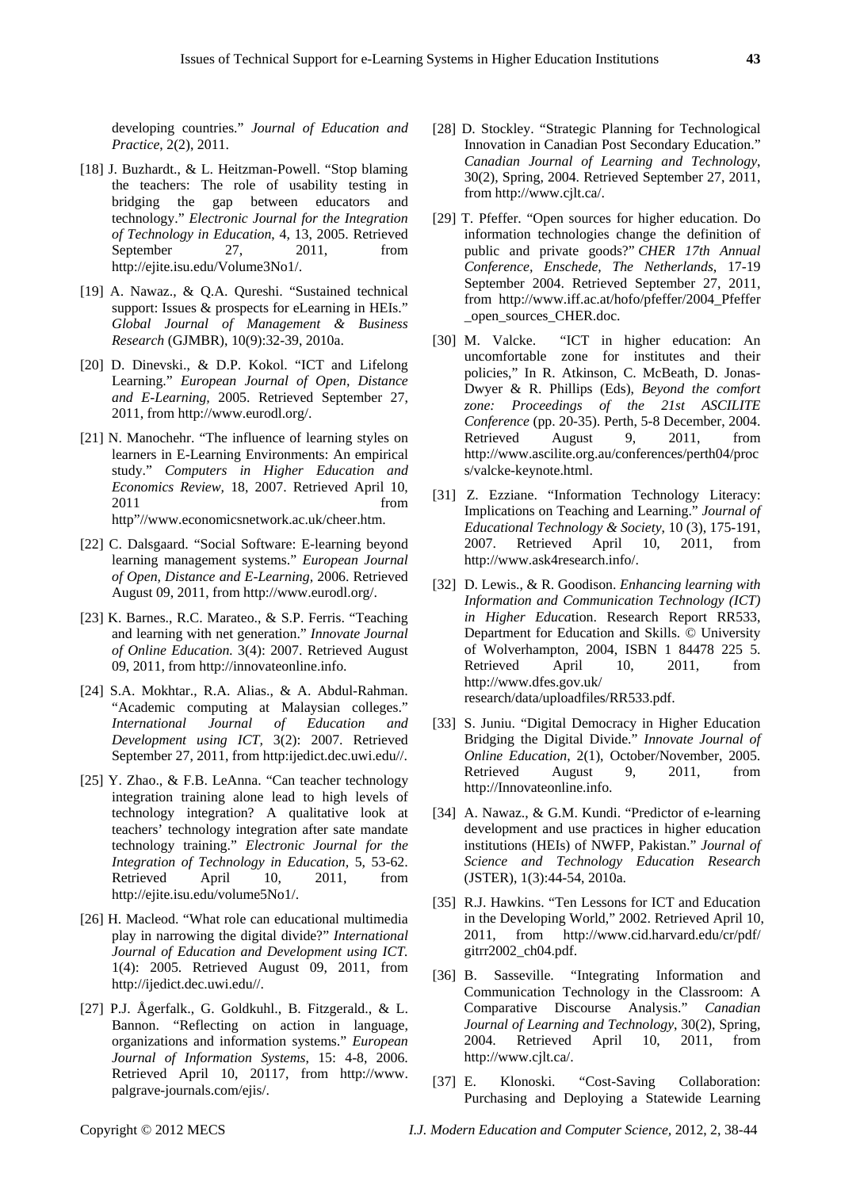developing countries." *Journal of Education and Practice*, 2(2), 2011.

- [18] J. Buzhardt., & L. Heitzman-Powell. "Stop blaming the teachers: The role of usability testing in bridging the gap between educators and technology." *Electronic Journal for the Integration of Technology in Education*, 4, 13, 2005. Retrieved September 27, 2011, from http://ejite.isu.edu/Volume3No1/.
- [19] A. Nawaz., & Q.A. Qureshi. "Sustained technical support: Issues & prospects for eLearning in HEIs." *Global Journal of Management & Business Research* (GJMBR), 10(9):32-39, 2010a.
- [20] D. Dinevski., & D.P. Kokol. "ICT and Lifelong Learning." *European Journal of Open, Distance and E-Learning,* 2005. Retrieved September 27, 2011, from http://www.eurodl.org/.
- [21] N. Manochehr. "The influence of learning styles on learners in E-Learning Environments: An empirical study." *Computers in Higher Education and Economics Review,* 18, 2007. Retrieved April 10, 2011 from the state of  $\sim$ http"//www.economicsnetwork.ac.uk/cheer.htm.
- [22] C. Dalsgaard. "Social Software: E-learning beyond learning management systems." *European Journal of Open, Distance and E-Learning,* 2006. Retrieved August 09, 2011, from http://www.eurodl.org/.
- [23] K. Barnes., R.C. Marateo., & S.P. Ferris. "Teaching and learning with net generation." *Innovate Journal of Online Education.* 3(4): 2007. Retrieved August 09, 2011, from http://innovateonline.info.
- [24] S.A. Mokhtar., R.A. Alias., & A. Abdul-Rahman. "Academic computing at Malaysian colleges." *International Journal of Education and Development using ICT,* 3(2): 2007. Retrieved September 27, 2011, from http:ijedict.dec.uwi.edu//.
- [25] Y. Zhao., & F.B. LeAnna. "Can teacher technology integration training alone lead to high levels of technology integration? A qualitative look at teachers' technology integration after sate mandate technology training." *Electronic Journal for the Integration of Technology in Education,* 5, 53-62. Retrieved April 10, 2011, from http://ejite.isu.edu/volume5No1/.
- [26] H. Macleod. "What role can educational multimedia play in narrowing the digital divide?" *International Journal of Education and Development using ICT.*  1(4): 2005. Retrieved August 09, 2011, from http://ijedict.dec.uwi.edu//.
- [27] P.J. Ågerfalk., G. Goldkuhl., B. Fitzgerald., & L. Bannon. "Reflecting on action in language, organizations and information systems." *European Journal of Information Systems*, 15: 4-8, 2006. Retrieved April 10, 20117, from http://www. palgrave-journals.com/ejis/.
- [28] D. Stockley. "Strategic Planning for Technological Innovation in Canadian Post Secondary Education." *Canadian Journal of Learning and Technology*, 30(2), Spring, 2004. Retrieved September 27, 2011, from http://www.cjlt.ca/.
- [29] T. Pfeffer. "Open sources for higher education. Do information technologies change the definition of public and private goods?" *CHER 17th Annual Conference, Enschede, The Netherlands*, 17-19 September 2004. Retrieved September 27, 2011, from http://www.iff.ac.at/hofo/pfeffer/2004\_Pfeffer \_open\_sources\_CHER.doc.
- [30] M. Valcke. "ICT in higher education: An uncomfortable zone for institutes and their policies," In R. Atkinson, C. McBeath, D. Jonas-Dwyer & R. Phillips (Eds), *Beyond the comfort zone: Proceedings of the 21st ASCILITE Conference* (pp. 20-35). Perth, 5-8 December, 2004. Retrieved August 9, 2011, from http://www.ascilite.org.au/conferences/perth04/proc s/valcke-keynote.html.
- [31] Z. Ezziane. "Information Technology Literacy: Implications on Teaching and Learning." *Journal of Educational Technology & Society*, 10 (3), 175-191, 2007. Retrieved April 10, 2011, from http://www.ask4research.info/.
- [32] D. Lewis., & R. Goodison. *Enhancing learning with Information and Communication Technology (ICT) in Higher Educa*tion. Research Report RR533, Department for Education and Skills. © University of Wolverhampton, 2004, ISBN 1 84478 225 5. Retrieved April 10, 2011, from http://www.dfes.gov.uk/ research/data/uploadfiles/RR533.pdf.
- [33] S. Juniu. "Digital Democracy in Higher Education Bridging the Digital Divide." *Innovate Journal of Online Education*, 2(1), October/November, 2005. Retrieved August 9, 2011, from http://Innovateonline.info.
- [34] A. Nawaz., & G.M. Kundi. "Predictor of e-learning development and use practices in higher education institutions (HEIs) of NWFP, Pakistan." *Journal of Science and Technology Education Research* (JSTER), 1(3):44-54, 2010a.
- [35] R.J. Hawkins. "Ten Lessons for ICT and Education in the Developing World," 2002. Retrieved April 10, 2011, from http://www.cid.harvard.edu/cr/pdf/ gitrr2002\_ch04.pdf.
- [36] B. Sasseville. "Integrating Information and Communication Technology in the Classroom: A Comparative Discourse Analysis." *Canadian Journal of Learning and Technology*, 30(2), Spring, 2004. Retrieved April 10, 2011, from http://www.cjlt.ca/.
- [37] E. Klonoski. "Cost-Saving Collaboration: Purchasing and Deploying a Statewide Learning